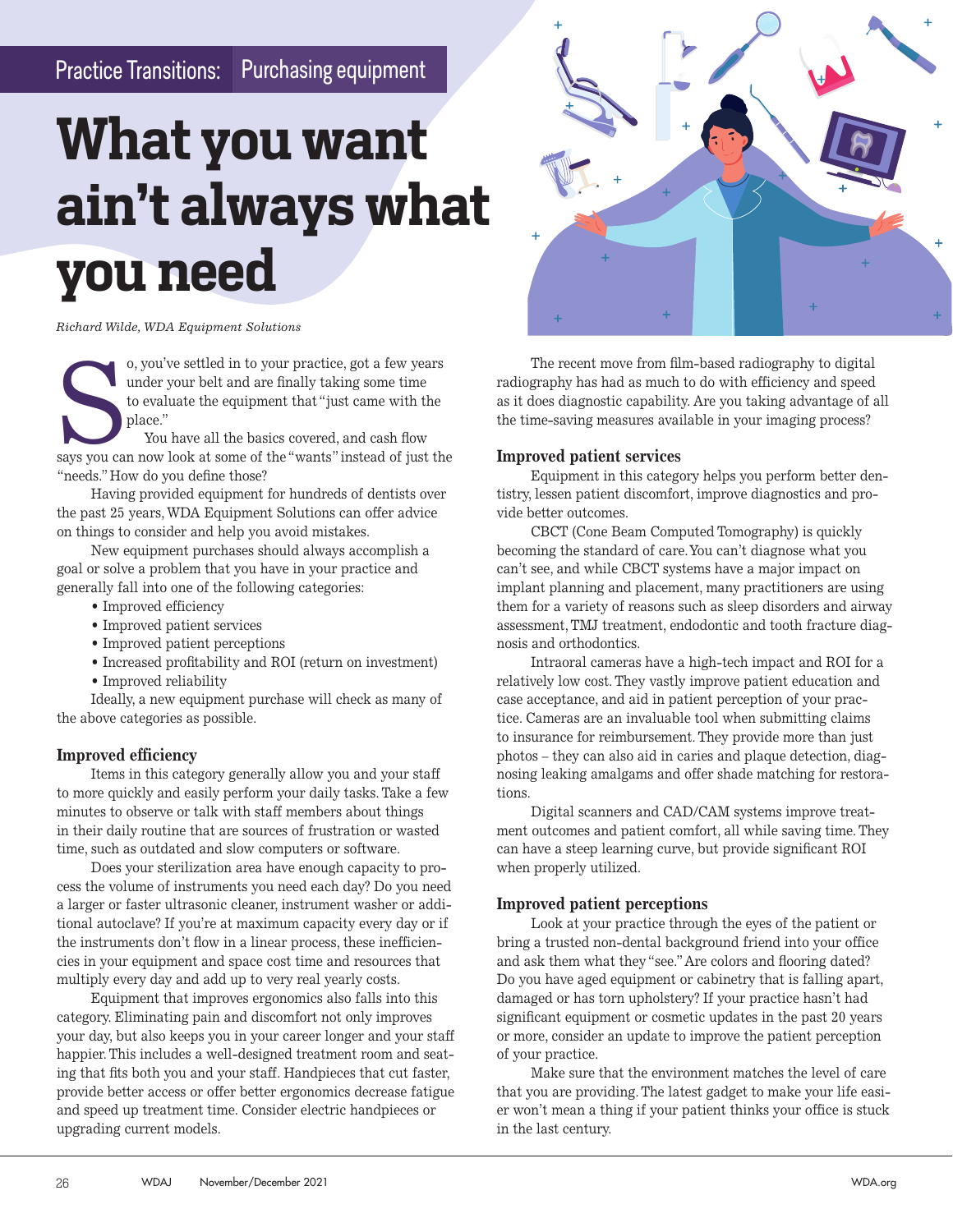### Practice Transitions: Purchasing equipment

## **What you want ain't always what you need**

*Richard Wilde, WDA Equipment Solutions*

o, you've settled in to your practice, got a few years<br>
under your belt and are finally taking some time<br>
to evaluate the equipment that "just came with the<br>
place."<br>
You have all the basics covered, and cash flow<br>
says yo under your belt and are finally taking some time to evaluate the equipment that "just came with the place."

 You have all the basics covered, and cash flow "needs." How do you define those?

Having provided equipment for hundreds of dentists over the past 25 years, WDA Equipment Solutions can offer advice on things to consider and help you avoid mistakes.

New equipment purchases should always accomplish a goal or solve a problem that you have in your practice and generally fall into one of the following categories:

- Improved efficiency
- Improved patient services
- Improved patient perceptions
- Increased profitability and ROI (return on investment)
- Improved reliability

Ideally, a new equipment purchase will check as many of the above categories as possible.

#### **Improved efficiency**

Items in this category generally allow you and your staff to more quickly and easily perform your daily tasks. Take a few minutes to observe or talk with staff members about things in their daily routine that are sources of frustration or wasted time, such as outdated and slow computers or software.

Does your sterilization area have enough capacity to process the volume of instruments you need each day? Do you need a larger or faster ultrasonic cleaner, instrument washer or additional autoclave? If you're at maximum capacity every day or if the instruments don't flow in a linear process, these inefficiencies in your equipment and space cost time and resources that multiply every day and add up to very real yearly costs.

Equipment that improves ergonomics also falls into this category. Eliminating pain and discomfort not only improves your day, but also keeps you in your career longer and your staff happier. This includes a well-designed treatment room and seating that fits both you and your staff. Handpieces that cut faster, provide better access or offer better ergonomics decrease fatigue and speed up treatment time. Consider electric handpieces or upgrading current models.



The recent move from film-based radiography to digital radiography has had as much to do with efficiency and speed as it does diagnostic capability. Are you taking advantage of all the time-saving measures available in your imaging process?

#### **Improved patient services**

Equipment in this category helps you perform better dentistry, lessen patient discomfort, improve diagnostics and provide better outcomes.

CBCT (Cone Beam Computed Tomography) is quickly becoming the standard of care. You can't diagnose what you can't see, and while CBCT systems have a major impact on implant planning and placement, many practitioners are using them for a variety of reasons such as sleep disorders and airway assessment, TMJ treatment, endodontic and tooth fracture diagnosis and orthodontics.

Intraoral cameras have a high-tech impact and ROI for a relatively low cost. They vastly improve patient education and case acceptance, and aid in patient perception of your practice. Cameras are an invaluable tool when submitting claims to insurance for reimbursement. They provide more than just photos – they can also aid in caries and plaque detection, diagnosing leaking amalgams and offer shade matching for restorations.

Digital scanners and CAD/CAM systems improve treatment outcomes and patient comfort, all while saving time. They can have a steep learning curve, but provide significant ROI when properly utilized.

#### **Improved patient perceptions**

Look at your practice through the eyes of the patient or bring a trusted non-dental background friend into your office and ask them what they "see." Are colors and flooring dated? Do you have aged equipment or cabinetry that is falling apart, damaged or has torn upholstery? If your practice hasn't had significant equipment or cosmetic updates in the past 20 years or more, consider an update to improve the patient perception of your practice.

Make sure that the environment matches the level of care that you are providing. The latest gadget to make your life easier won't mean a thing if your patient thinks your office is stuck in the last century.